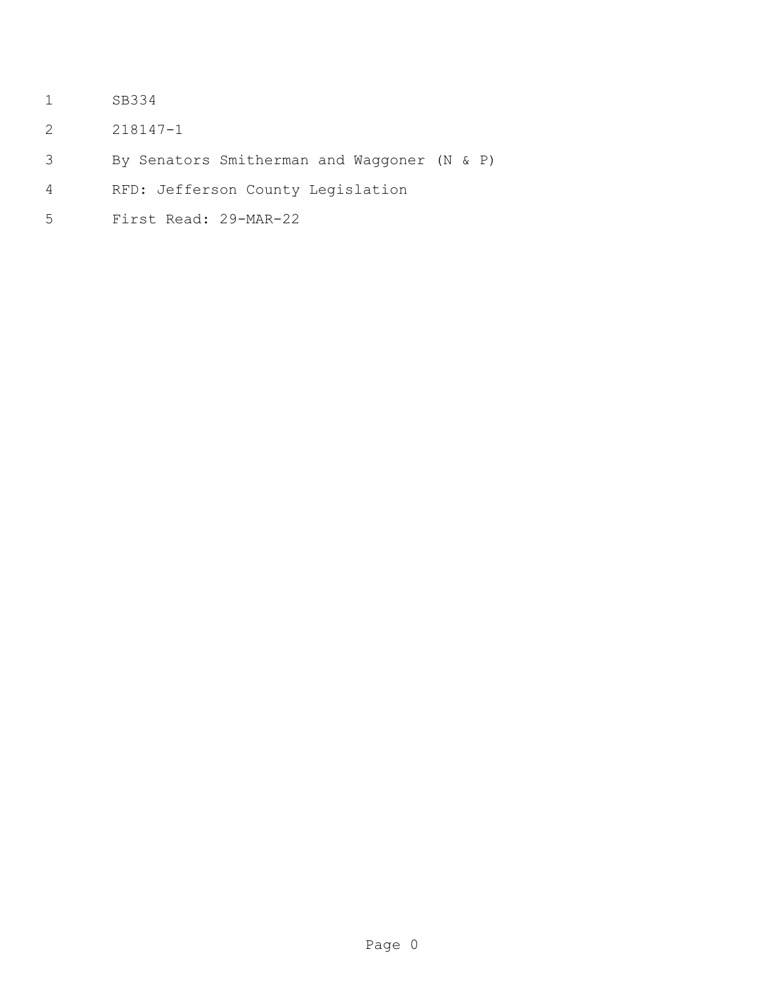- SB334
- 218147-1
- By Senators Smitherman and Waggoner (N & P)
- RFD: Jefferson County Legislation
- First Read: 29-MAR-22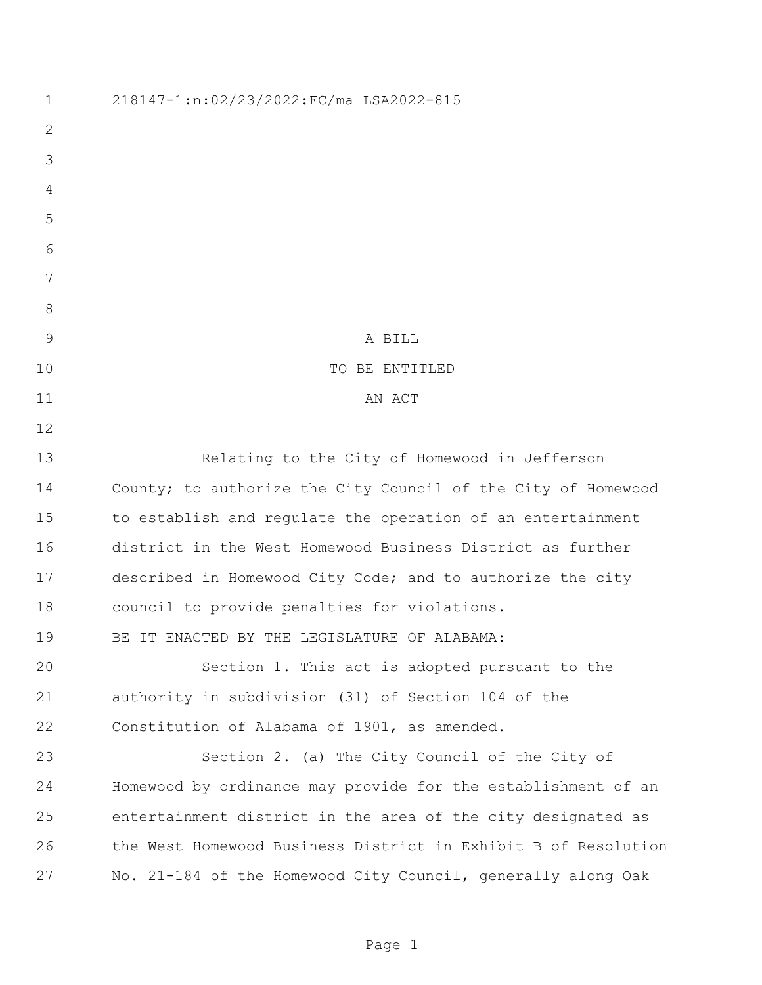| 1             | 218147-1:n:02/23/2022:FC/ma LSA2022-815                        |
|---------------|----------------------------------------------------------------|
| $\mathbf{2}$  |                                                                |
| 3             |                                                                |
| 4             |                                                                |
| 5             |                                                                |
| 6             |                                                                |
| 7             |                                                                |
| 8             |                                                                |
| $\mathcal{G}$ | A BILL                                                         |
| 10            | TO BE ENTITLED                                                 |
| 11            | AN ACT                                                         |
| 12            |                                                                |
| 13            | Relating to the City of Homewood in Jefferson                  |
| 14            | County; to authorize the City Council of the City of Homewood  |
| 15            | to establish and regulate the operation of an entertainment    |
| 16            | district in the West Homewood Business District as further     |
| 17            | described in Homewood City Code; and to authorize the city     |
| 18            | council to provide penalties for violations.                   |
| 19            | BE IT ENACTED BY THE LEGISLATURE OF ALABAMA:                   |
| 20            | Section 1. This act is adopted pursuant to the                 |
| 21            | authority in subdivision (31) of Section 104 of the            |
| 22            | Constitution of Alabama of 1901, as amended.                   |
| 23            | Section 2. (a) The City Council of the City of                 |
| 24            | Homewood by ordinance may provide for the establishment of an  |
| 25            | entertainment district in the area of the city designated as   |
| 26            | the West Homewood Business District in Exhibit B of Resolution |
| 27            | No. 21-184 of the Homewood City Council, generally along Oak   |
|               |                                                                |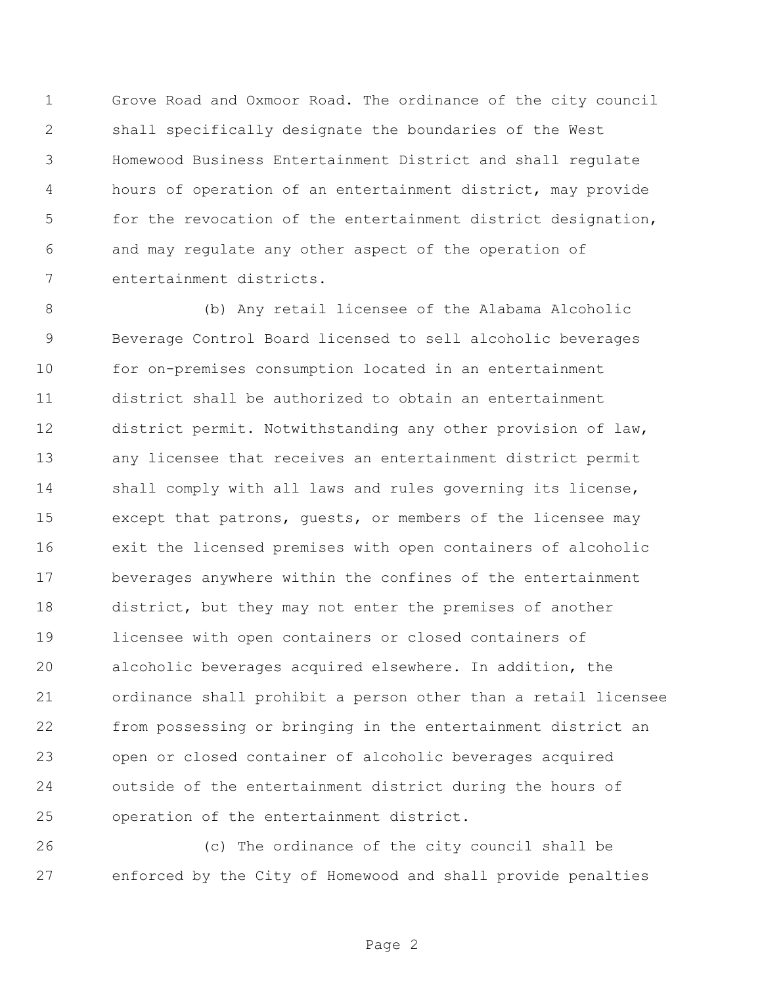Grove Road and Oxmoor Road. The ordinance of the city council shall specifically designate the boundaries of the West Homewood Business Entertainment District and shall regulate hours of operation of an entertainment district, may provide for the revocation of the entertainment district designation, and may regulate any other aspect of the operation of entertainment districts.

 (b) Any retail licensee of the Alabama Alcoholic Beverage Control Board licensed to sell alcoholic beverages for on-premises consumption located in an entertainment district shall be authorized to obtain an entertainment district permit. Notwithstanding any other provision of law, any licensee that receives an entertainment district permit shall comply with all laws and rules governing its license, except that patrons, guests, or members of the licensee may exit the licensed premises with open containers of alcoholic beverages anywhere within the confines of the entertainment district, but they may not enter the premises of another licensee with open containers or closed containers of alcoholic beverages acquired elsewhere. In addition, the ordinance shall prohibit a person other than a retail licensee from possessing or bringing in the entertainment district an open or closed container of alcoholic beverages acquired outside of the entertainment district during the hours of operation of the entertainment district.

 (c) The ordinance of the city council shall be enforced by the City of Homewood and shall provide penalties